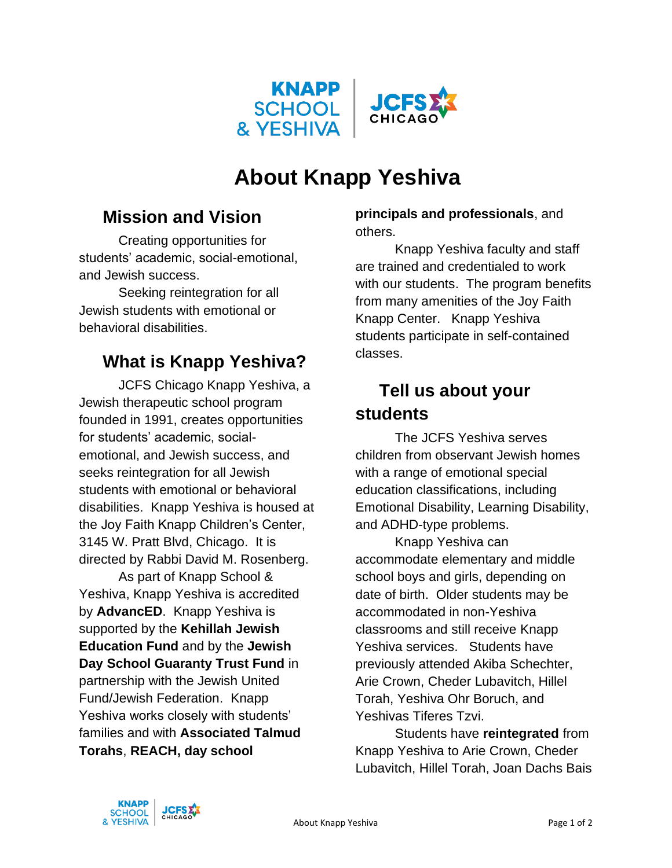

# **About Knapp Yeshiva**

#### **Mission and Vision**

Creating opportunities for students' academic, social-emotional, and Jewish success.

Seeking reintegration for all Jewish students with emotional or behavioral disabilities.

#### **What is Knapp Yeshiva?**

JCFS Chicago Knapp Yeshiva, a Jewish therapeutic school program founded in 1991, creates opportunities for students' academic, socialemotional, and Jewish success, and seeks reintegration for all Jewish students with emotional or behavioral disabilities. Knapp Yeshiva is housed at the Joy Faith Knapp Children's Center, 3145 W. Pratt Blvd, Chicago. It is directed by Rabbi David M. Rosenberg.

As part of Knapp School & Yeshiva, Knapp Yeshiva is accredited by **AdvancED**. Knapp Yeshiva is supported by the **Kehillah Jewish Education Fund** and by the **Jewish Day School Guaranty Trust Fund** in partnership with the Jewish United Fund/Jewish Federation. Knapp Yeshiva works closely with students' families and with **Associated Talmud Torahs**, **REACH, day school** 

**principals and professionals**, and others.

Knapp Yeshiva faculty and staff are trained and credentialed to work with our students. The program benefits from many amenities of the Joy Faith Knapp Center. Knapp Yeshiva students participate in self-contained classes.

## **Tell us about your students**

The JCFS Yeshiva serves children from observant Jewish homes with a range of emotional special education classifications, including Emotional Disability, Learning Disability, and ADHD-type problems.

Knapp Yeshiva can accommodate elementary and middle school boys and girls, depending on date of birth. Older students may be accommodated in non-Yeshiva classrooms and still receive Knapp Yeshiva services. Students have previously attended Akiba Schechter, Arie Crown, Cheder Lubavitch, Hillel Torah, Yeshiva Ohr Boruch, and Yeshivas Tiferes Tzvi.

Students have **reintegrated** from Knapp Yeshiva to Arie Crown, Cheder Lubavitch, Hillel Torah, Joan Dachs Bais